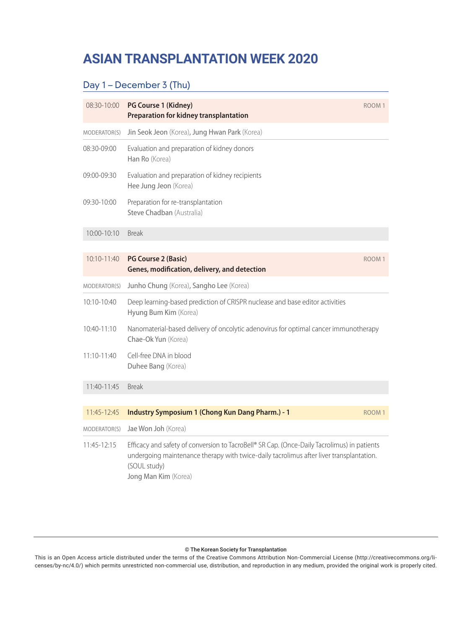# **ASIAN TRANSPLANTATION WEEK 2020 Scientific Program**

# Day 1 – December 3 (Thu)

| 08:30-10:00     | PG Course 1 (Kidney)<br><b>Preparation for kidney transplantation</b>                                                                                                                                                          | ROOM <sub>1</sub> |
|-----------------|--------------------------------------------------------------------------------------------------------------------------------------------------------------------------------------------------------------------------------|-------------------|
| MODERATOR(S)    | Jin Seok Jeon (Korea), Jung Hwan Park (Korea)                                                                                                                                                                                  |                   |
| 08:30-09:00     | Evaluation and preparation of kidney donors<br>Han Ro (Korea)                                                                                                                                                                  |                   |
| 09:00-09:30     | Evaluation and preparation of kidney recipients<br>Hee Jung Jeon (Korea)                                                                                                                                                       |                   |
| 09:30-10:00     | Preparation for re-transplantation<br>Steve Chadban (Australia)                                                                                                                                                                |                   |
| 10:00-10:10     | <b>Break</b>                                                                                                                                                                                                                   |                   |
|                 |                                                                                                                                                                                                                                |                   |
| 10:10-11:40     | <b>PG Course 2 (Basic)</b><br>Genes, modification, delivery, and detection                                                                                                                                                     | ROOM <sub>1</sub> |
| MODERATOR(S)    | Junho Chung (Korea), Sangho Lee (Korea)                                                                                                                                                                                        |                   |
| 10:10-10:40     | Deep learning-based prediction of CRISPR nuclease and base editor activities<br>Hyung Bum Kim (Korea)                                                                                                                          |                   |
| $10:40 - 11:10$ | Nanomaterial-based delivery of oncolytic adenovirus for optimal cancer immunotherapy<br>Chae-Ok Yun (Korea)                                                                                                                    |                   |
| 11:10-11:40     | Cell-free DNA in blood<br>Duhee Bang (Korea)                                                                                                                                                                                   |                   |
| 11:40-11:45     | <b>Break</b>                                                                                                                                                                                                                   |                   |
|                 |                                                                                                                                                                                                                                |                   |
| 11:45-12:45     | <b>Industry Symposium 1 (Chong Kun Dang Pharm.) - 1</b>                                                                                                                                                                        | ROOM <sub>1</sub> |
| MODERATOR(S)    | Jae Won Joh (Korea)                                                                                                                                                                                                            |                   |
| 11:45-12:15     | Efficacy and safety of conversion to TacroBell® SR Cap. (Once-Daily Tacrolimus) in patients<br>undergoing maintenance therapy with twice-daily tacrolimus after liver transplantation.<br>(SOUL study)<br>Jong Man Kim (Korea) |                   |

#### © The Korean Society for Transplantation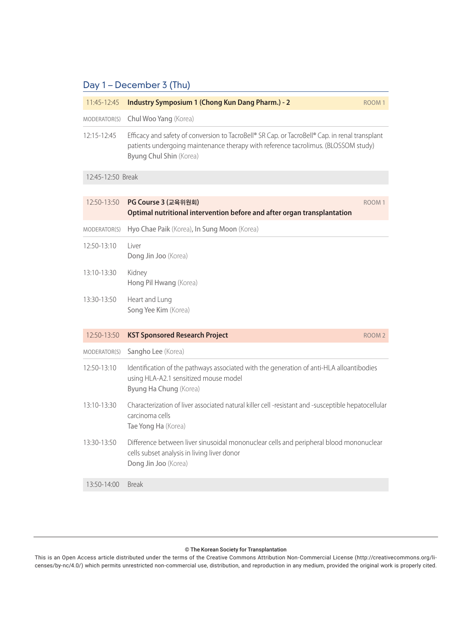# Day 1 – December 3 (Thu)

| 11:45-12:45       | Industry Symposium 1 (Chong Kun Dang Pharm.) - 2                                                                                                                                                                | ROOM <sub>1</sub> |
|-------------------|-----------------------------------------------------------------------------------------------------------------------------------------------------------------------------------------------------------------|-------------------|
| MODERATOR(S)      | Chul Woo Yang (Korea)                                                                                                                                                                                           |                   |
| 12:15-12:45       | Efficacy and safety of conversion to TacroBell® SR Cap. or TacroBell® Cap. in renal transplant<br>patients undergoing maintenance therapy with reference tacrolimus. (BLOSSOM study)<br>Byung Chul Shin (Korea) |                   |
| 12:45-12:50 Break |                                                                                                                                                                                                                 |                   |
|                   |                                                                                                                                                                                                                 |                   |
| 12:50-13:50       | PG Course 3 (교육위원회)<br>Optimal nutritional intervention before and after organ transplantation                                                                                                                  | ROOM <sub>1</sub> |
| MODERATOR(S)      | Hyo Chae Paik (Korea), In Sung Moon (Korea)                                                                                                                                                                     |                   |
| 12:50-13:10       | Liver<br>Dong Jin Joo (Korea)                                                                                                                                                                                   |                   |
| 13:10-13:30       | Kidney<br>Hong Pil Hwang (Korea)                                                                                                                                                                                |                   |
| 13:30-13:50       | Heart and Lung<br>Song Yee Kim (Korea)                                                                                                                                                                          |                   |
| 12:50-13:50       | <b>KST Sponsored Research Project</b>                                                                                                                                                                           | ROOM <sub>2</sub> |
| MODERATOR(S)      | Sangho Lee (Korea)                                                                                                                                                                                              |                   |
| 12:50-13:10       | Identification of the pathways associated with the generation of anti-HLA alloantibodies<br>using HLA-A2.1 sensitized mouse model<br>Byung Ha Chung (Korea)                                                     |                   |
| 13:10-13:30       | Characterization of liver associated natural killer cell -resistant and -susceptible hepatocellular<br>carcinoma cells<br>Tae Yong Ha (Korea)                                                                   |                   |
| 13:30-13:50       | Difference between liver sinusoidal mononuclear cells and peripheral blood mononuclear<br>cells subset analysis in living liver donor<br>Dong Jin Joo (Korea)                                                   |                   |
| 13:50-14:00       | <b>Break</b>                                                                                                                                                                                                    |                   |
|                   |                                                                                                                                                                                                                 |                   |

#### © The Korean Society for Transplantation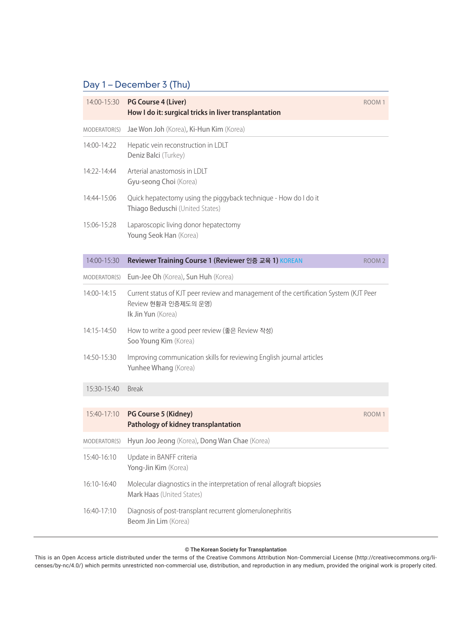# Day 1 – December 3 (Thu)

| 14:00-15:30  | <b>PG Course 4 (Liver)</b><br>How I do it: surgical tricks in liver transplantation                                                  | ROOM <sub>1</sub> |
|--------------|--------------------------------------------------------------------------------------------------------------------------------------|-------------------|
| MODERATOR(S) | Jae Won Joh (Korea), Ki-Hun Kim (Korea)                                                                                              |                   |
| 14:00-14:22  | Hepatic vein reconstruction in LDLT<br>Deniz Balci (Turkey)                                                                          |                   |
| 14:22-14:44  | Arterial anastomosis in LDLT<br>Gyu-seong Choi (Korea)                                                                               |                   |
| 14:44-15:06  | Quick hepatectomy using the piggyback technique - How do I do it<br>Thiago Beduschi (United States)                                  |                   |
| 15:06-15:28  | Laparoscopic living donor hepatectomy<br>Young Seok Han (Korea)                                                                      |                   |
| 14:00-15:30  | Reviewer Training Course 1 (Reviewer 인증 교육 1) KOREAN                                                                                 | ROOM <sub>2</sub> |
| MODERATOR(S) | Eun-Jee Oh (Korea), Sun Huh (Korea)                                                                                                  |                   |
| 14:00-14:15  | Current status of KJT peer review and management of the certification System (KJT Peer<br>Review 현황과 인증제도의 운영)<br>Ik Jin Yun (Korea) |                   |
| 14:15-14:50  | How to write a good peer review (좋은 Review 작성)<br>Soo Young Kim (Korea)                                                              |                   |
| 14:50-15:30  | Improving communication skills for reviewing English journal articles<br>Yunhee Whang (Korea)                                        |                   |
| 15:30-15:40  | <b>Break</b>                                                                                                                         |                   |
| 15:40-17:10  | PG Course 5 (Kidney)<br>Pathology of kidney transplantation                                                                          | ROOM <sub>1</sub> |
| MODERATOR(S) | Hyun Joo Jeong (Korea), Dong Wan Chae (Korea)                                                                                        |                   |
| 15:40-16:10  | Update in BANFF criteria<br>Yong-Jin Kim (Korea)                                                                                     |                   |
| 16:10-16:40  | Molecular diagnostics in the interpretation of renal allograft biopsies<br>Mark Haas (United States)                                 |                   |
| 16:40-17:10  | Diagnosis of post-transplant recurrent glomerulonephritis<br>Beom Jin Lim (Korea)                                                    |                   |

#### © The Korean Society for Transplantation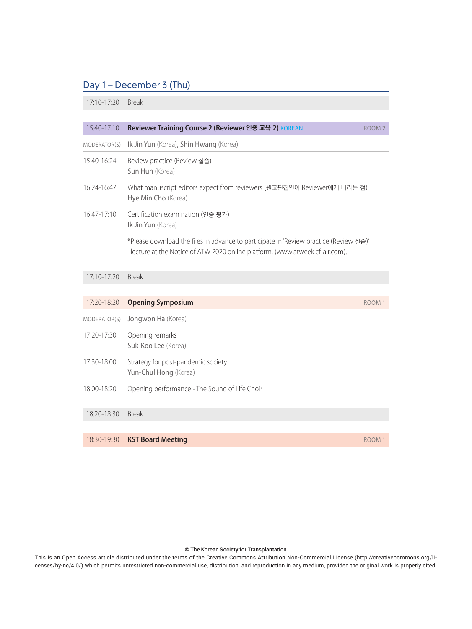# Day 1 – December 3 (Thu)

17:10-17:20 Break

| 15:40-17:10   | Reviewer Training Course 2 (Reviewer 인증 교육 2) KOREAN                                                                                                                 | ROOM <sub>2</sub> |
|---------------|----------------------------------------------------------------------------------------------------------------------------------------------------------------------|-------------------|
| MODERATOR(S)  | Ik Jin Yun (Korea), Shin Hwang (Korea)                                                                                                                               |                   |
| 15:40-16:24   | Review practice (Review 실습)<br>Sun Huh (Korea)                                                                                                                       |                   |
| 16:24-16:47   | What manuscript editors expect from reviewers (원고편집인이 Reviewer에게 바라는 점)<br>Hye Min Cho (Korea)                                                                       |                   |
| $16:47-17:10$ | Certification examination (인증 평가)<br>Ik Jin Yun (Korea)                                                                                                              |                   |
|               | *Please download the files in advance to participate in 'Review practice (Review 실습)'<br>lecture at the Notice of ATW 2020 online platform. (www.atweek.cf-air.com). |                   |
| $17:10-17:20$ | <b>Break</b>                                                                                                                                                         |                   |
|               |                                                                                                                                                                      |                   |
| 17:20-18:20   | <b>Opening Symposium</b>                                                                                                                                             | ROOM <sub>1</sub> |
| MODERATOR(S)  | Jongwon Ha (Korea)                                                                                                                                                   |                   |
| 17:20-17:30   | Opening remarks<br>Suk-Koo Lee (Korea)                                                                                                                               |                   |
| 17:30-18:00   | Strategy for post-pandemic society<br>Yun-Chul Hong (Korea)                                                                                                          |                   |
| 18:00-18:20   | Opening performance - The Sound of Life Choir                                                                                                                        |                   |
| 18:20-18:30   | <b>Break</b>                                                                                                                                                         |                   |
|               |                                                                                                                                                                      |                   |
| 18:30-19:30   | <b>KST Board Meeting</b>                                                                                                                                             | ROOM <sub>1</sub> |

#### © The Korean Society for Transplantation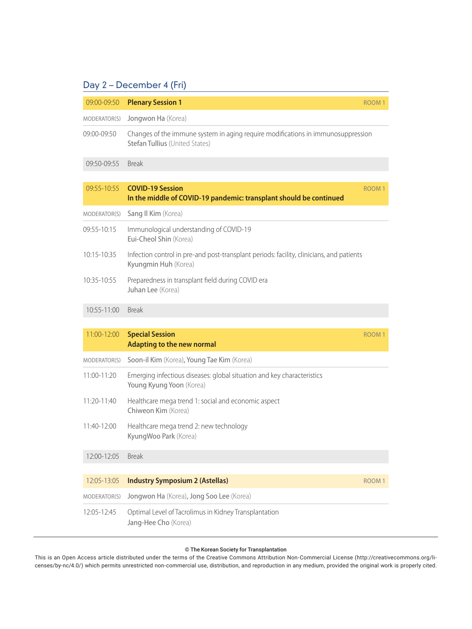| 09:00-09:50  | <b>Plenary Session 1</b>                                                                                           | ROOM <sub>1</sub> |
|--------------|--------------------------------------------------------------------------------------------------------------------|-------------------|
| MODERATOR(S) | Jongwon Ha (Korea)                                                                                                 |                   |
| 09:00-09:50  | Changes of the immune system in aging require modifications in immunosuppression<br>Stefan Tullius (United States) |                   |
| 09:50-09:55  | <b>Break</b>                                                                                                       |                   |
| 09:55-10:55  | <b>COVID-19 Session</b><br>In the middle of COVID-19 pandemic: transplant should be continued                      | ROOM <sub>1</sub> |
| MODERATOR(S) | Sang II Kim (Korea)                                                                                                |                   |
| 09:55-10:15  | Immunological understanding of COVID-19<br>Eui-Cheol Shin (Korea)                                                  |                   |
| 10:15-10:35  | Infection control in pre-and post-transplant periods: facility, clinicians, and patients<br>Kyungmin Huh (Korea)   |                   |
| 10:35-10:55  | Preparedness in transplant field during COVID era<br>Juhan Lee (Korea)                                             |                   |
| 10:55-11:00  | <b>Break</b>                                                                                                       |                   |
| 11:00-12:00  | <b>Special Session</b>                                                                                             | ROOM <sub>1</sub> |
|              | <b>Adapting to the new normal</b>                                                                                  |                   |
| MODERATOR(S) | Soon-il Kim (Korea), Young Tae Kim (Korea)                                                                         |                   |
| 11:00-11:20  | Emerging infectious diseases: global situation and key characteristics<br>Young Kyung Yoon (Korea)                 |                   |
| 11:20-11:40  | Healthcare mega trend 1: social and economic aspect<br>Chiweon Kim (Korea)                                         |                   |
| 11:40-12:00  | Healthcare mega trend 2: new technology<br>KyungWoo Park (Korea)                                                   |                   |
| 12:00-12:05  | <b>Break</b>                                                                                                       |                   |
| 12:05-13:05  | <b>Industry Symposium 2 (Astellas)</b>                                                                             | ROOM <sub>1</sub> |
| MODERATOR(S) | Jongwon Ha (Korea), Jong Soo Lee (Korea)                                                                           |                   |
| 12:05-12:45  | Optimal Level of Tacrolimus in Kidney Transplantation<br>Jang-Hee Cho (Korea)                                      |                   |

#### © The Korean Society for Transplantation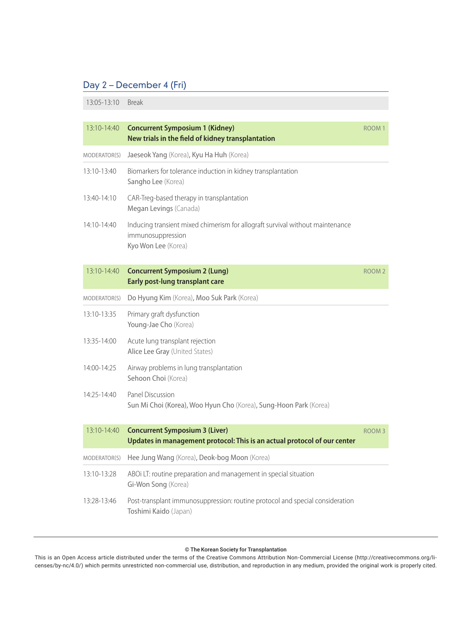13:05-13:10 Break

| 13:10-14:40  | <b>Concurrent Symposium 1 (Kidney)</b><br>New trials in the field of kidney transplantation                               | ROOM <sub>1</sub> |
|--------------|---------------------------------------------------------------------------------------------------------------------------|-------------------|
| MODERATOR(S) | Jaeseok Yang (Korea), Kyu Ha Huh (Korea)                                                                                  |                   |
| 13:10-13:40  | Biomarkers for tolerance induction in kidney transplantation<br>Sangho Lee (Korea)                                        |                   |
| 13:40-14:10  | CAR-Treg-based therapy in transplantation<br>Megan Levings (Canada)                                                       |                   |
| 14:10-14:40  | Inducing transient mixed chimerism for allograft survival without maintenance<br>immunosuppression<br>Kyo Won Lee (Korea) |                   |
| 13:10-14:40  | <b>Concurrent Symposium 2 (Lung)</b><br><b>Early post-lung transplant care</b>                                            | ROOM <sub>2</sub> |
| MODERATOR(S) | Do Hyung Kim (Korea), Moo Suk Park (Korea)                                                                                |                   |
| 13:10-13:35  | Primary graft dysfunction<br>Young-Jae Cho (Korea)                                                                        |                   |
| 13:35-14:00  | Acute lung transplant rejection<br>Alice Lee Gray (United States)                                                         |                   |
| 14:00-14:25  | Airway problems in lung transplantation<br>Sehoon Choi (Korea)                                                            |                   |
| 14:25-14:40  | Panel Discussion<br>Sun Mi Choi (Korea), Woo Hyun Cho (Korea), Sung-Hoon Park (Korea)                                     |                   |
| 13:10-14:40  | <b>Concurrent Symposium 3 (Liver)</b><br>Updates in management protocol: This is an actual protocol of our center         | ROOM <sub>3</sub> |
| MODERATOR(S) | Hee Jung Wang (Korea), Deok-bog Moon (Korea)                                                                              |                   |
| 13:10-13:28  | ABOi LT: routine preparation and management in special situation<br>Gi-Won Song (Korea)                                   |                   |
| 13:28-13:46  | Post-transplant immunosuppression: routine protocol and special consideration<br>Toshimi Kaido (Japan)                    |                   |

#### © The Korean Society for Transplantation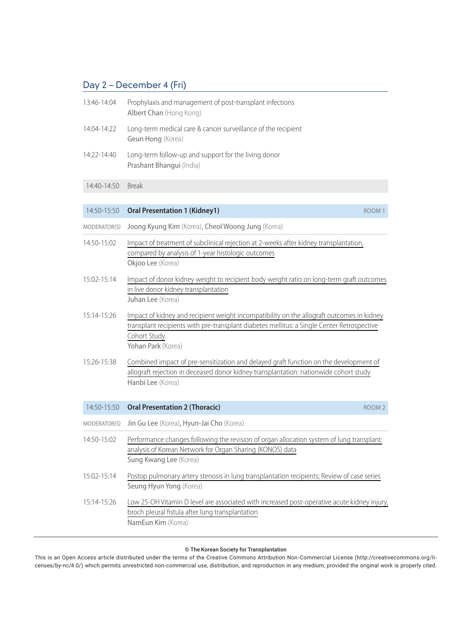| 13:46-14:04 | Prophylaxis and management of post-transplant infections<br>Albert Chan (Hong Kong)       |
|-------------|-------------------------------------------------------------------------------------------|
| 14:04-14:22 | Long-term medical care & cancer surveillance of the recipient<br><b>Geun Hong (Korea)</b> |
| 14:22-14:40 | Long-term follow-up and support for the living donor<br>Prashant Bhangui (India)          |

#### 14:40-14:50 Break

| 14:50-15:50  | <b>Oral Presentation 1 (Kidney1)</b><br>ROOM <sub>1</sub>                                                                                                                                                                     |  |
|--------------|-------------------------------------------------------------------------------------------------------------------------------------------------------------------------------------------------------------------------------|--|
| MODERATOR(S) | Joong Kyung Kim (Korea), Cheol Woong Jung (Korea)                                                                                                                                                                             |  |
| 14:50-15:02  | Impact of treatment of subclinical rejection at 2-weeks after kidney transplantation,<br>compared by analysis of 1-year histologic outcomes<br>Okjoo Lee (Korea)                                                              |  |
| 15:02-15:14  | Impact of donor kidney weight to recipient body weight ratio on long-term graft outcomes<br>in live donor kidney transplantation<br>Juhan Lee (Korea)                                                                         |  |
| 15:14-15:26  | Impact of kidney and recipient weight incompatibility on the allograft outcomes in kidney<br>transplant recipients with pre-transplant diabetes mellitus: a Single Center Retrospective<br>Cohort Study<br>Yohan Park (Korea) |  |
| 15:26-15:38  | Combined impact of pre-sensitization and delayed graft function on the development of<br>allograft rejection in deceased donor kidney transplantation: nationwide cohort study<br>Hanbi Lee (Korea)                           |  |
| 14:50-15:50  | <b>Oral Presentation 2 (Thoracic)</b><br>ROOM <sub>2</sub>                                                                                                                                                                    |  |
| MODERATOR(S) | Jin Gu Lee (Korea), Hyun-Jai Cho (Korea)                                                                                                                                                                                      |  |
| 14:50-15:02  | Performance changes following the revision of organ allocation system of lung transplant:<br>analysis of Korean Network for Organ Sharing (KONOS) data<br>Sung Kwang Lee (Korea)                                              |  |
| 15:02-15:14  | Postop pulmonary artery stenosis in lung transplantation recipients; Review of case series<br>Seung Hyun Yong (Korea)                                                                                                         |  |
| 15:14-15:26  | Low 25-OH Vitamin D level are associated with increased post-operative acute kidney injury,<br>broch pleural fistula after lung transplantation<br>NamEun Kim (Korea)                                                         |  |

#### © The Korean Society for Transplantation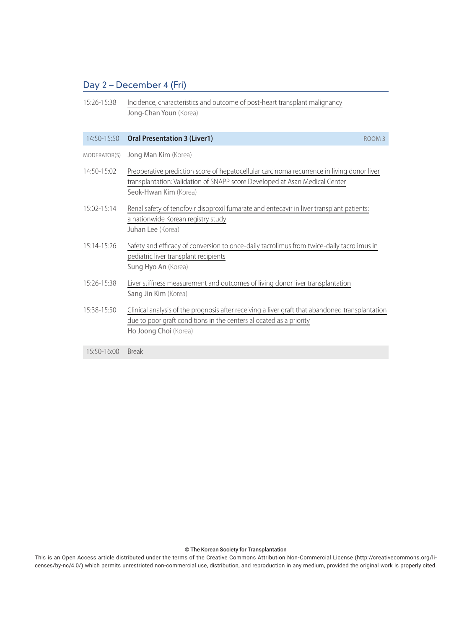15:26-15:38 Incidence, characteristics and outcome of post-heart transplant malignancy Jong-Chan Youn (Korea)

|                 | 14:50-15:50 Oral Presentation 3 (Liver1)<br>ROOM <sub>3</sub>                                                                                                                                      |  |
|-----------------|----------------------------------------------------------------------------------------------------------------------------------------------------------------------------------------------------|--|
| MODERATOR(S)    | Jong Man Kim (Korea)                                                                                                                                                                               |  |
| 14:50-15:02     | Preoperative prediction score of hepatocellular carcinoma recurrence in living donor liver<br>transplantation: Validation of SNAPP score Developed at Asan Medical Center<br>Seok-Hwan Kim (Korea) |  |
| $15:02 - 15:14$ | Renal safety of tenofovir disoproxil fumarate and entecavir in liver transplant patients:<br>a nationwide Korean registry study<br>Juhan Lee (Korea)                                               |  |
| $15:14 - 15:26$ | Safety and efficacy of conversion to once-daily tacrolimus from twice-daily tacrolimus in<br>pediatric liver transplant recipients<br>Sung Hyo An (Korea)                                          |  |
| 15:26-15:38     | Liver stiffness measurement and outcomes of living donor liver transplantation<br>Sang Jin Kim (Korea)                                                                                             |  |
| 15:38-15:50     | Clinical analysis of the prognosis after receiving a liver graft that abandoned transplantation<br>due to poor graft conditions in the centers allocated as a priority<br>Ho Joong Choi (Korea)    |  |
| 15:50-16:00     | <b>Break</b>                                                                                                                                                                                       |  |

#### © The Korean Society for Transplantation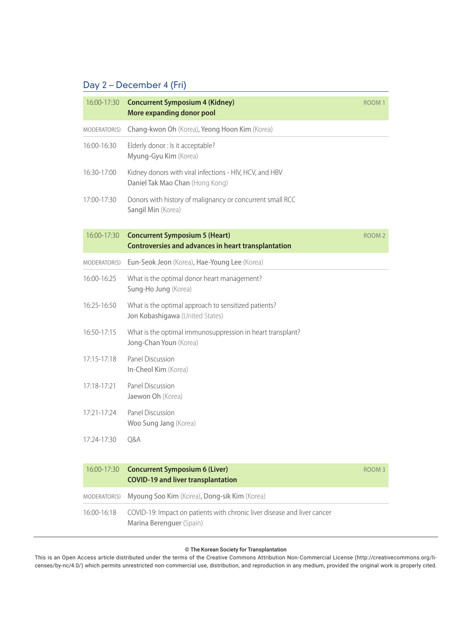| 16:00-17:30     | <b>Concurrent Symposium 4 (Kidney)</b><br>More expanding donor pool                                  | ROOM <sub>1</sub> |
|-----------------|------------------------------------------------------------------------------------------------------|-------------------|
| MODERATOR(S)    | Chang-kwon Oh (Korea), Yeong Hoon Kim (Korea)                                                        |                   |
| 16:00-16:30     | Elderly donor : Is it acceptable?<br>Myung-Gyu Kim (Korea)                                           |                   |
| 16:30-17:00     | Kidney donors with viral infections - HIV, HCV, and HBV<br>Daniel Tak Mao Chan (Hong Kong)           |                   |
| 17:00-17:30     | Donors with history of malignancy or concurrent small RCC<br>Sangil Min (Korea)                      |                   |
| 16:00-17:30     | <b>Concurrent Symposium 5 (Heart)</b><br><b>Controversies and advances in heart transplantation</b>  | ROOM <sub>2</sub> |
| MODERATOR(S)    | Eun-Seok Jeon (Korea), Hae-Young Lee (Korea)                                                         |                   |
| 16:00-16:25     | What is the optimal donor heart management?<br>Sung-Ho Jung (Korea)                                  |                   |
| 16:25-16:50     | What is the optimal approach to sensitized patients?<br>Jon Kobashigawa (United States)              |                   |
| 16:50-17:15     | What is the optimal immunosuppression in heart transplant?<br>Jong-Chan Youn (Korea)                 |                   |
| $17:15 - 17:18$ | Panel Discussion<br>In-Cheol Kim (Korea)                                                             |                   |
| 17:18-17:21     | Panel Discussion<br>Jaewon Oh (Korea)                                                                |                   |
| 17:21-17:24     | Panel Discussion<br>Woo Sung Jang (Korea)                                                            |                   |
| 17:24-17:30     | Q&A                                                                                                  |                   |
| 16:00-17:30     | <b>Concurrent Symposium 6 (Liver)</b><br><b>COVID-19 and liver transplantation</b>                   | ROOM <sub>3</sub> |
| MODERATOR(S)    | Myoung Soo Kim (Korea), Dong-sik Kim (Korea)                                                         |                   |
| 16:00-16:18     | COVID-19: Impact on patients with chronic liver disease and liver cancer<br>Marina Berenguer (Spain) |                   |

#### © The Korean Society for Transplantation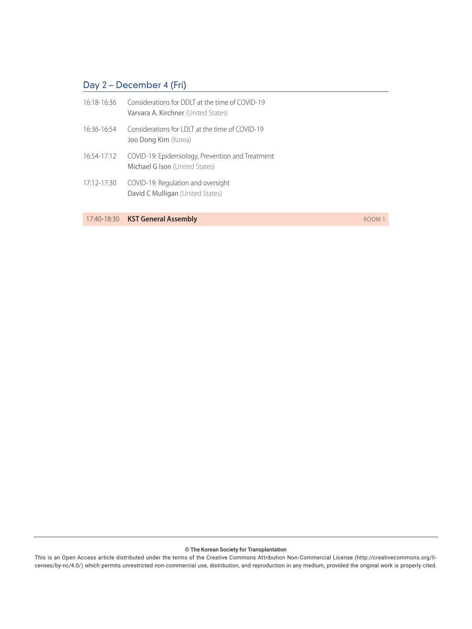| $16.18 - 16.36$ | Considerations for DDLT at the time of COVID-19<br>Varvara A. Kirchner (United States) |
|-----------------|----------------------------------------------------------------------------------------|
| 16:36-16:54     | Considerations for LDLT at the time of COVID-19<br>Joo Dong Kim (Korea)                |
| 16:54-17:12     | COVID-19: Epidemiology, Prevention and Treatment<br>Michael G Ison (United States)     |
| 17:12-17:30     | COVID-19: Regulation and oversight<br>David C Mulligan (United States)                 |

17:40-18:30 **KST General Assembly ROOM 1** 

© The Korean Society for Transplantation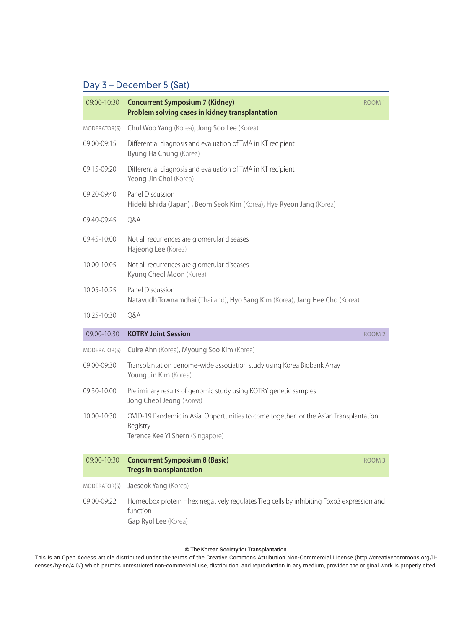| 09:00-10:30     | <b>Concurrent Symposium 7 (Kidney)</b><br>Problem solving cases in kidney transplantation                                              | ROOM <sub>1</sub> |
|-----------------|----------------------------------------------------------------------------------------------------------------------------------------|-------------------|
| MODERATOR(S)    | Chul Woo Yang (Korea), Jong Soo Lee (Korea)                                                                                            |                   |
| 09:00-09:15     | Differential diagnosis and evaluation of TMA in KT recipient<br>Byung Ha Chung (Korea)                                                 |                   |
| 09:15-09:20     | Differential diagnosis and evaluation of TMA in KT recipient<br>Yeong-Jin Choi (Korea)                                                 |                   |
| $09:20 - 09:40$ | Panel Discussion<br>Hideki Ishida (Japan), Beom Seok Kim (Korea), Hye Ryeon Jang (Korea)                                               |                   |
| 09:40-09:45     | Q&A                                                                                                                                    |                   |
| 09:45-10:00     | Not all recurrences are glomerular diseases<br>Hajeong Lee (Korea)                                                                     |                   |
| $10:00 - 10:05$ | Not all recurrences are glomerular diseases<br>Kyung Cheol Moon (Korea)                                                                |                   |
| 10:05-10:25     | Panel Discussion<br>Natavudh Townamchai (Thailand), Hyo Sang Kim (Korea), Jang Hee Cho (Korea)                                         |                   |
| 10:25-10:30     | Q&A                                                                                                                                    |                   |
| 09:00-10:30     | <b>KOTRY Joint Session</b>                                                                                                             | ROOM <sub>2</sub> |
| MODERATOR(S)    | Cuire Ahn (Korea), Myoung Soo Kim (Korea)                                                                                              |                   |
| 09:00-09:30     | Transplantation genome-wide association study using Korea Biobank Array<br>Young Jin Kim (Korea)                                       |                   |
| 09:30-10:00     | Preliminary results of genomic study using KOTRY genetic samples<br>Jong Cheol Jeong (Korea)                                           |                   |
| $10:00 - 10:30$ | OVID-19 Pandemic in Asia: Opportunities to come together for the Asian Transplantation<br>Registry<br>Terence Kee Yi Shern (Singapore) |                   |
| 09:00-10:30     | <b>Concurrent Symposium 8 (Basic)</b><br><b>Tregs in transplantation</b>                                                               | ROOM <sub>3</sub> |
| MODERATOR(S)    | Jaeseok Yang (Korea)                                                                                                                   |                   |
| 09:00-09:22     | Homeobox protein Hhex negatively regulates Treg cells by inhibiting Foxp3 expression and<br>function<br>Gap Ryol Lee (Korea)           |                   |

#### © The Korean Society for Transplantation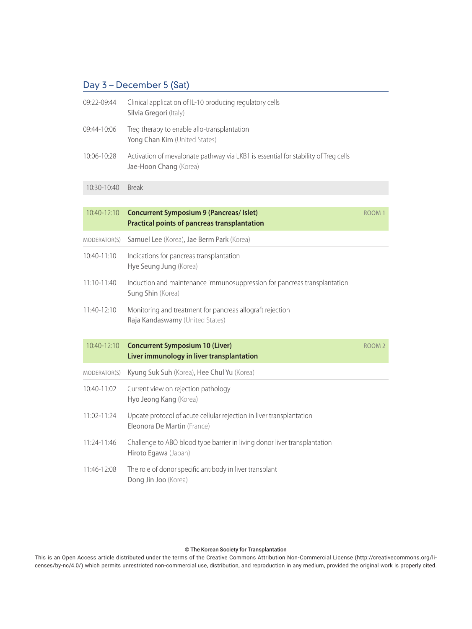| 09:22-09:44  | Clinical application of IL-10 producing regulatory cells<br>Silvia Gregori (Italy)                           |                   |
|--------------|--------------------------------------------------------------------------------------------------------------|-------------------|
| 09:44-10:06  | Treg therapy to enable allo-transplantation<br>Yong Chan Kim (United States)                                 |                   |
| 10:06-10:28  | Activation of mevalonate pathway via LKB1 is essential for stability of Treg cells<br>Jae-Hoon Chang (Korea) |                   |
| 10:30-10:40  | <b>Break</b>                                                                                                 |                   |
|              |                                                                                                              |                   |
| 10:40-12:10  | <b>Concurrent Symposium 9 (Pancreas/ Islet)</b><br><b>Practical points of pancreas transplantation</b>       | ROOM <sub>1</sub> |
| MODERATOR(S) | Samuel Lee (Korea), Jae Berm Park (Korea)                                                                    |                   |
| 10:40-11:10  | Indications for pancreas transplantation<br>Hye Seung Jung (Korea)                                           |                   |
| 11:10-11:40  | Induction and maintenance immunosuppression for pancreas transplantation<br>Sung Shin (Korea)                |                   |
| 11:40-12:10  | Monitoring and treatment for pancreas allograft rejection<br>Raja Kandaswamy (United States)                 |                   |
| 10:40-12:10  | <b>Concurrent Symposium 10 (Liver)</b><br>Liver immunology in liver transplantation                          | ROOM <sub>2</sub> |
| MODERATOR(S) | Kyung Suk Suh (Korea), Hee Chul Yu (Korea)                                                                   |                   |
| 10:40-11:02  | Current view on rejection pathology<br>Hyo Jeong Kang (Korea)                                                |                   |
| 11:02-11:24  | Update protocol of acute cellular rejection in liver transplantation<br>Eleonora De Martin (France)          |                   |
| 11:24-11:46  | Challenge to ABO blood type barrier in living donor liver transplantation<br>Hiroto Egawa (Japan)            |                   |
| 11:46-12:08  | The role of donor specific antibody in liver transplant<br>Dong Jin Joo (Korea)                              |                   |

#### © The Korean Society for Transplantation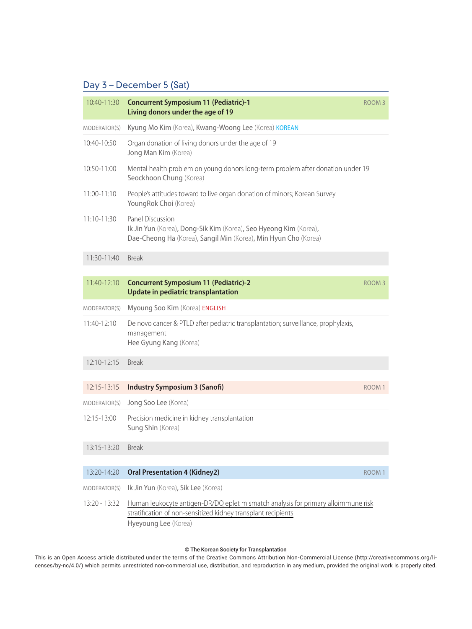| 10:40-11:30     | <b>Concurrent Symposium 11 (Pediatric)-1</b><br>Living donors under the age of 19                                                                                          | ROOM <sub>3</sub> |
|-----------------|----------------------------------------------------------------------------------------------------------------------------------------------------------------------------|-------------------|
| MODERATOR(S)    | Kyung Mo Kim (Korea), Kwang-Woong Lee (Korea) KOREAN                                                                                                                       |                   |
| $10:40-10:50$   | Organ donation of living donors under the age of 19<br>Jong Man Kim (Korea)                                                                                                |                   |
| 10:50-11:00     | Mental health problem on young donors long-term problem after donation under 19<br>Seockhoon Chung (Korea)                                                                 |                   |
| 11:00-11:10     | People's attitudes toward to live organ donation of minors; Korean Survey<br>YoungRok Choi (Korea)                                                                         |                   |
| 11:10-11:30     | Panel Discussion<br>Ik Jin Yun (Korea), Dong-Sik Kim (Korea), Seo Hyeong Kim (Korea),<br>Dae-Cheong Ha (Korea), Sangil Min (Korea), Min Hyun Cho (Korea)                   |                   |
| 11:30-11:40     | <b>Break</b>                                                                                                                                                               |                   |
|                 |                                                                                                                                                                            |                   |
| 11:40-12:10     | <b>Concurrent Symposium 11 (Pediatric)-2</b><br>Update in pediatric transplantation                                                                                        | <b>ROOM3</b>      |
| MODERATOR(S)    | Myoung Soo Kim (Korea) ENGLISH                                                                                                                                             |                   |
| 11:40-12:10     | De novo cancer & PTLD after pediatric transplantation; surveillance, prophylaxis,<br>management<br>Hee Gyung Kang (Korea)                                                  |                   |
| 12:10-12:15     | <b>Break</b>                                                                                                                                                               |                   |
| 12:15-13:15     |                                                                                                                                                                            | ROOM <sup>®</sup> |
|                 | <b>Industry Symposium 3 (Sanofi)</b>                                                                                                                                       |                   |
| MODERATOR(S)    | Jong Soo Lee (Korea)                                                                                                                                                       |                   |
| 12:15-13:00     | Precision medicine in kidney transplantation<br>Sung Shin (Korea)                                                                                                          |                   |
| 13:15-13:20     | <b>Break</b>                                                                                                                                                               |                   |
| 13:20-14:20     | <b>Oral Presentation 4 (Kidney2)</b>                                                                                                                                       |                   |
|                 |                                                                                                                                                                            | ROOM <sub>1</sub> |
| MODERATOR(S)    | Ik Jin Yun (Korea), Sik Lee (Korea)                                                                                                                                        |                   |
| $13:20 - 13:32$ | Human leukocyte antigen-DR/DQ eplet mismatch analysis for primary alloimmune risk<br>stratification of non-sensitized kidney transplant recipients<br>Hyeyoung Lee (Korea) |                   |

#### © The Korean Society for Transplantation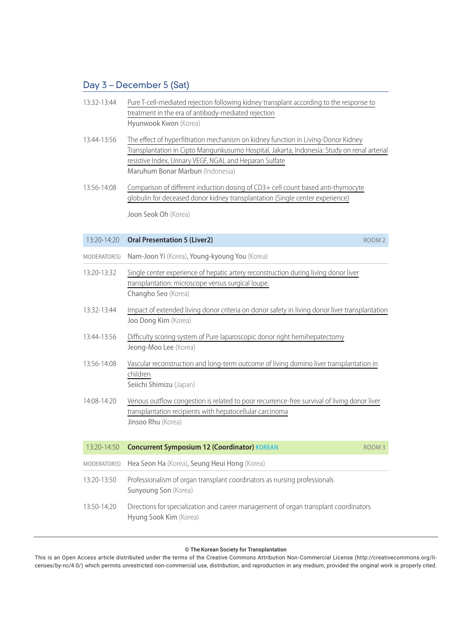| $13:32 - 13:44$ | Pure T-cell-mediated rejection following kidney transplant according to the response to |
|-----------------|-----------------------------------------------------------------------------------------|
|                 | treatment in the era of antibody-mediated rejection                                     |
|                 | Hyunwook Kwon (Korea)                                                                   |

- 13:44-13:56 The effect of hyperfiltration mechanism on kidney function in Living-Donor Kidney Transplantation in Cipto Mangunkusumo Hospital, Jakarta, Indonesia: Study on renal arterial resistive Index, Urinary VEGF, NGAL and Heparan Sulfate Maruhum Bonar Marbun (Indonesia)
- 13:56-14:08 Comparison of different induction dosing of CD3+ cell count based anti-thymocyte globulin for deceased donor kidney transplantation (Single center experience)

Joon Seok Oh (Korea)

| $13:20 - 14:20$ | <b>Oral Presentation 5 (Liver2)</b>                                                                                                                                           | ROOM <sub>2</sub> |
|-----------------|-------------------------------------------------------------------------------------------------------------------------------------------------------------------------------|-------------------|
| MODERATOR(S)    | Nam-Joon Yi (Korea), Young-kyoung You (Korea)                                                                                                                                 |                   |
| 13:20-13:32     | Single center experience of hepatic artery reconstruction during living donor liver<br>transplantation: microscope versus surgical loupe.<br>Changho Seo (Korea)              |                   |
| 13:32-13:44     | Impact of extended living donor criteria on donor safety in living donor liver transplantation<br>Joo Dong Kim (Korea)                                                        |                   |
| 13:44-13:56     | Difficulty scoring system of Pure laparoscopic donor right hemihepatectomy<br>Jeong-Moo Lee (Korea)                                                                           |                   |
| 13:56-14:08     | Vascular reconstruction and long-term outcome of living domino liver transplantation in<br>children<br>Seiichi Shimizu (Japan)                                                |                   |
| 14:08-14:20     | Venous outflow congestion is related to poor recurrence-free survival of living donor liver<br>transplantation recipients with hepatocellular carcinoma<br>Jinsoo Rhu (Korea) |                   |
| 13:20-14:50     | <b>Concurrent Symposium 12 (Coordinator) KOREAN</b>                                                                                                                           | ROOM <sub>3</sub> |
| MODERATOR(S)    | Hea Seon Ha (Korea), Seung Heui Hong (Korea)                                                                                                                                  |                   |
| 13:20-13:50     | Professionalism of organ transplant coordinators as nursing professionals<br>Sunyoung Son (Korea)                                                                             |                   |
| 13:50-14:20     | Directions for specialization and career management of organ transplant coordinators<br>Hyung Sook Kim (Korea)                                                                |                   |

#### © The Korean Society for Transplantation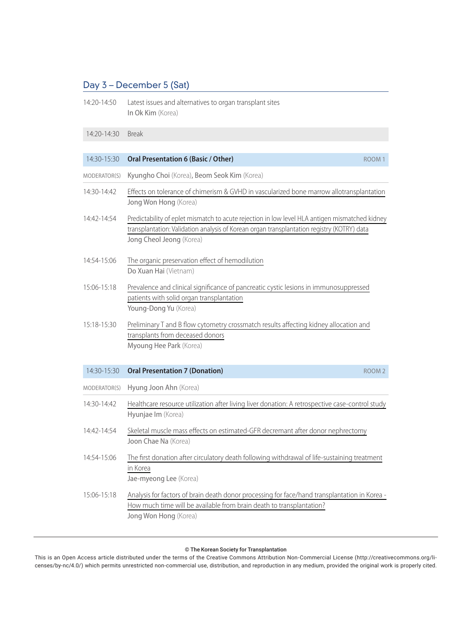14:20-14:50 Latest issues and alternatives to organ transplant sites In Ok Kim (Korea)

#### 14:20-14:30 Break

| 14:30-15:30  | <b>Oral Presentation 6 (Basic / Other)</b><br>ROOM <sub>1</sub>                                                                                                                                                          |  |
|--------------|--------------------------------------------------------------------------------------------------------------------------------------------------------------------------------------------------------------------------|--|
| MODERATOR(S) | Kyungho Choi (Korea), Beom Seok Kim (Korea)                                                                                                                                                                              |  |
| 14:30-14:42  | Effects on tolerance of chimerism & GVHD in vascularized bone marrow allotransplantation<br>Jong Won Hong (Korea)                                                                                                        |  |
| 14:42-14:54  | Predictability of eplet mismatch to acute rejection in low level HLA antigen mismatched kidney<br>transplantation: Validation analysis of Korean organ transplantation registry (KOTRY) data<br>Jong Cheol Jeong (Korea) |  |
| 14:54-15:06  | The organic preservation effect of hemodilution<br>Do Xuan Hai (Vietnam)                                                                                                                                                 |  |
| 15:06-15:18  | Prevalence and clinical significance of pancreatic cystic lesions in immunosuppressed<br>patients with solid organ transplantation<br>Young-Dong Yu (Korea)                                                              |  |
| 15:18-15:30  | Preliminary T and B flow cytometry crossmatch results affecting kidney allocation and<br>transplants from deceased donors<br>Myoung Hee Park (Korea)                                                                     |  |
| 14:30-15:30  | <b>Oral Presentation 7 (Donation)</b><br>ROOM <sub>2</sub>                                                                                                                                                               |  |
| MODERATOR(S) | Hyung Joon Ahn (Korea)                                                                                                                                                                                                   |  |
| 14:30-14:42  | Healthcare resource utilization after living liver donation: A retrospective case-control study<br>Hyunjae Im (Korea)                                                                                                    |  |
| 14:42-14:54  | Skeletal muscle mass effects on estimated-GFR decremant after donor nephrectomy<br>Joon Chae Na (Korea)                                                                                                                  |  |
| 14:54-15:06  | The first donation after circulatory death following withdrawal of life-sustaining treatment<br>in Korea<br>Jae-myeong Lee (Korea)                                                                                       |  |
| 15:06-15:18  | Analysis for factors of brain death donor processing for face/hand transplantation in Korea -<br>How much time will be available from brain death to transplantation?<br>Jong Won Hong (Korea)                           |  |

#### © The Korean Society for Transplantation